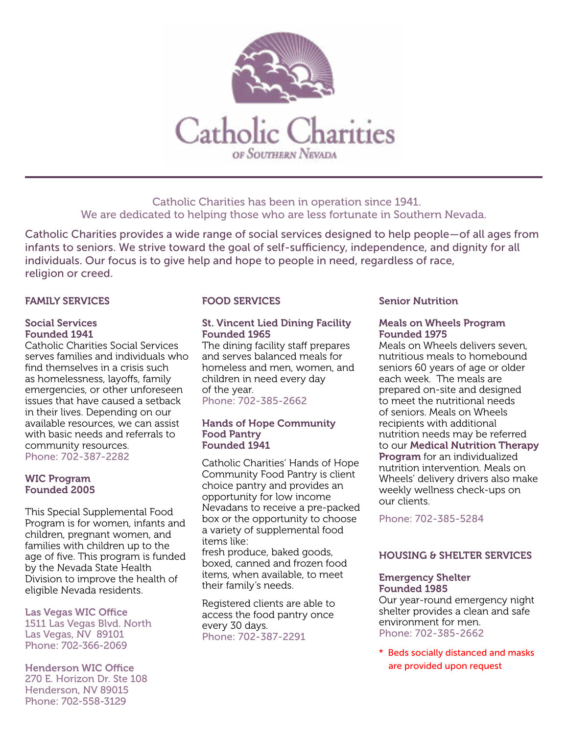

 Catholic Charities has been in operation since 1941. We are dedicated to helping those who are less fortunate in Southern Nevada.

Catholic Charities provides a wide range of social services designed to help people—of all ages from infants to seniors. We strive toward the goal of self-sufficiency, independence, and dignity for all individuals. Our focus is to give help and hope to people in need, regardless of race, religion or creed.

### FAMILY SERVICES

#### Social Services Founded 1941

Catholic Charities Social Services serves families and individuals who find themselves in a crisis such as homelessness, layoffs, family emergencies, or other unforeseen issues that have caused a setback in their lives. Depending on our available resources, we can assist with basic needs and referrals to community resources. Phone: 702-387-2282

#### WIC Program Founded 2005

This Special Supplemental Food Program is for women, infants and children, pregnant women, and families with children up to the age of five. This program is funded by the Nevada State Health Division to improve the health of eligible Nevada residents.

# Las Vegas WIC Office

1511 Las Vegas Blvd. North Las Vegas, NV 89101 Phone: 702-366-2069

Henderson WIC Office 270 E. Horizon Dr. Ste 108 Henderson, NV 89015 Phone: 702-558-3129

## FOOD SERVICES

#### St. Vincent Lied Dining Facility Founded 1965

The dining facility staff prepares and serves balanced meals for homeless and men, women, and children in need every day of the year. Phone: 702-385-2662

#### Hands of Hope Community Food Pantry Founded 1941

Catholic Charities' Hands of Hope Community Food Pantry is client choice pantry and provides an opportunity for low income Nevadans to receive a pre-packed box or the opportunity to choose a variety of supplemental food items like:

fresh produce, baked goods, boxed, canned and frozen food items, when available, to meet their family's needs.

Registered clients are able to access the food pantry once every 30 days. Phone: 702-387-2291

## Senior Nutrition

#### Meals on Wheels Program Founded 1975

Meals on Wheels delivers seven, nutritious meals to homebound seniors 60 years of age or older each week. The meals are prepared on-site and designed to meet the nutritional needs of seniors. Meals on Wheels recipients with additional nutrition needs may be referred to our Medical Nutrition Therapy Program for an individualized nutrition intervention. Meals on Wheels' delivery drivers also make weekly wellness check-ups on our clients.

Phone: 702-385-5284

# HOUSING & SHELTER SERVICES

#### Emergency Shelter Founded 1985

Our year-round emergency night shelter provides a clean and safe environment for men. Phone: 702-385-2662

\* Beds socially distanced and masks are provided upon request